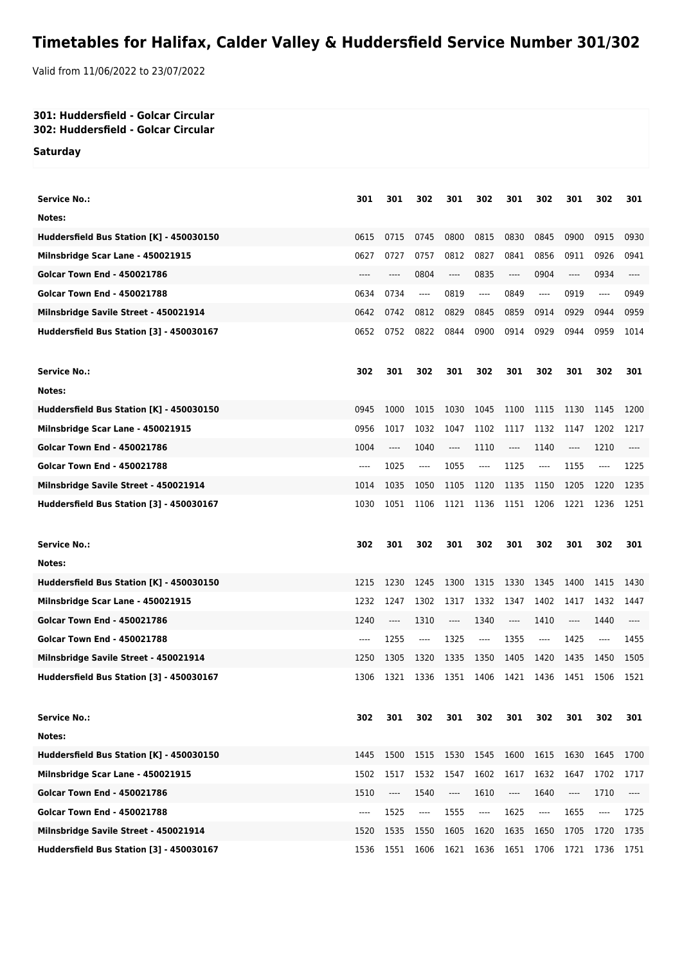## **Timetables for Halifax, Calder Valley & Huddersfield Service Number 301/302**

Valid from 11/06/2022 to 23/07/2022

## **301: Huddersfield - Golcar Circular 302: Huddersfield - Golcar Circular**

**Saturday**

| <b>Service No.:</b>                      | 301  | 301      | 302      | 301  | 302                           | 301      | 302                           | 301                           | 302  | 301   |
|------------------------------------------|------|----------|----------|------|-------------------------------|----------|-------------------------------|-------------------------------|------|-------|
| Notes:                                   |      |          |          |      |                               |          |                               |                               |      |       |
| Huddersfield Bus Station [K] - 450030150 | 0615 | 0715     | 0745     | 0800 | 0815                          | 0830     | 0845                          | 0900                          | 0915 | 0930  |
| Milnsbridge Scar Lane - 450021915        | 0627 | 0727     | 0757     | 0812 | 0827                          | 0841     | 0856                          | 0911                          | 0926 | 0941  |
| <b>Golcar Town End - 450021786</b>       | ---- | ----     | 0804     | ---- | 0835                          | ----     | 0904                          | $---$                         | 0934 | $---$ |
| <b>Golcar Town End - 450021788</b>       | 0634 | 0734     | $\cdots$ | 0819 | $---$                         | 0849     | $-----$                       | 0919                          | ---- | 0949  |
| Milnsbridge Savile Street - 450021914    | 0642 | 0742     | 0812     | 0829 | 0845                          | 0859     | 0914                          | 0929                          | 0944 | 0959  |
| Huddersfield Bus Station [3] - 450030167 | 0652 | 0752     | 0822     | 0844 | 0900                          | 0914     | 0929                          | 0944                          | 0959 | 1014  |
| <b>Service No.:</b>                      | 302  | 301      | 302      | 301  | 302                           | 301      | 302                           | 301                           | 302  | 301   |
| Notes:                                   |      |          |          |      |                               |          |                               |                               |      |       |
| Huddersfield Bus Station [K] - 450030150 | 0945 | 1000     | 1015     | 1030 | 1045                          | 1100     | 1115                          | 1130                          | 1145 | 1200  |
| Milnsbridge Scar Lane - 450021915        | 0956 | 1017     | 1032     | 1047 | 1102                          | 1117     | 1132                          | 1147                          | 1202 | 1217  |
| <b>Golcar Town End - 450021786</b>       | 1004 | ----     | 1040     | ---- | 1110                          | $\cdots$ | 1140                          | $---$                         | 1210 |       |
| <b>Golcar Town End - 450021788</b>       | ---- | 1025     | $\cdots$ | 1055 | ----                          | 1125     | $---$                         | 1155                          | ---- | 1225  |
| Milnsbridge Savile Street - 450021914    | 1014 | 1035     | 1050     | 1105 | 1120                          | 1135     | 1150                          | 1205                          | 1220 | 1235  |
| Huddersfield Bus Station [3] - 450030167 | 1030 | 1051     | 1106     | 1121 | 1136                          | 1151     | 1206                          | 1221                          | 1236 | 1251  |
| <b>Service No.:</b>                      | 302  | 301      | 302      | 301  | 302                           | 301      | 302                           | 301                           | 302  | 301   |
| Notes:                                   |      |          |          |      |                               |          |                               |                               |      |       |
| Huddersfield Bus Station [K] - 450030150 | 1215 | 1230     | 1245     | 1300 | 1315                          | 1330     | 1345                          | 1400                          | 1415 | 1430  |
| Milnsbridge Scar Lane - 450021915        |      |          |          |      |                               |          |                               |                               |      |       |
|                                          | 1232 | 1247     | 1302     | 1317 | 1332                          | 1347     | 1402                          | 1417                          | 1432 | 1447  |
| <b>Golcar Town End - 450021786</b>       | 1240 | ----     | 1310     | ---- | 1340                          | ----     | 1410                          | $-----$                       | 1440 | ----  |
| <b>Golcar Town End - 450021788</b>       | ---- | 1255     | ----     | 1325 | $\hspace{1.5cm} \textbf{---}$ | 1355     | ----                          | 1425                          | ---- | 1455  |
| Milnsbridge Savile Street - 450021914    | 1250 | 1305     | 1320     | 1335 | 1350                          | 1405     | 1420                          | 1435                          | 1450 | 1505  |
| Huddersfield Bus Station [3] - 450030167 | 1306 | 1321     | 1336     | 1351 | 1406                          | 1421     | 1436                          | 1451                          | 1506 | 1521  |
| <b>Service No.:</b>                      | 302  | 301      | 302      | 301  | 302                           | 301      | 302                           | 301                           | 302  | 301   |
| Notes:                                   |      |          |          |      |                               |          |                               |                               |      |       |
| Huddersfield Bus Station [K] - 450030150 | 1445 | 1500     | 1515     | 1530 | 1545                          | 1600     | 1615                          | 1630                          | 1645 | 1700  |
| Milnsbridge Scar Lane - 450021915        | 1502 | 1517     | 1532     | 1547 | 1602                          | 1617     | 1632                          | 1647                          | 1702 | 1717  |
| <b>Golcar Town End - 450021786</b>       | 1510 | $\cdots$ | 1540     | ---- | 1610                          | ----     | 1640                          | $\hspace{1.5cm} \textbf{---}$ | 1710 | ----  |
| <b>Golcar Town End - 450021788</b>       | ---- | 1525     | ----     | 1555 | $\hspace{1.5cm} \textbf{---}$ | 1625     | $\hspace{1.5cm} \textbf{---}$ | 1655                          | ---- | 1725  |
| Milnsbridge Savile Street - 450021914    | 1520 | 1535     | 1550     | 1605 | 1620                          | 1635     | 1650                          | 1705                          | 1720 | 1735  |